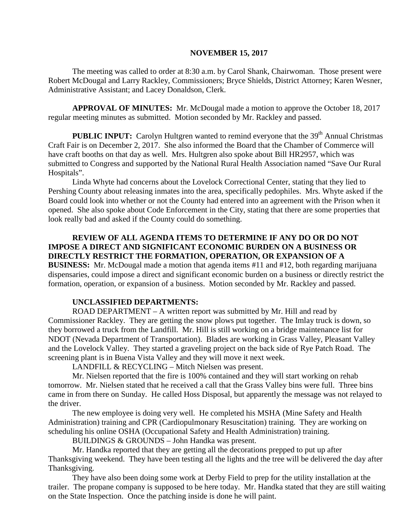#### **NOVEMBER 15, 2017**

The meeting was called to order at 8:30 a.m. by Carol Shank, Chairwoman. Those present were Robert McDougal and Larry Rackley, Commissioners; Bryce Shields, District Attorney; Karen Wesner, Administrative Assistant; and Lacey Donaldson, Clerk.

**APPROVAL OF MINUTES:** Mr. McDougal made a motion to approve the October 18, 2017 regular meeting minutes as submitted. Motion seconded by Mr. Rackley and passed.

**PUBLIC INPUT:** Carolyn Hultgren wanted to remind everyone that the 39<sup>th</sup> Annual Christmas Craft Fair is on December 2, 2017. She also informed the Board that the Chamber of Commerce will have craft booths on that day as well. Mrs. Hultgren also spoke about Bill HR2957, which was submitted to Congress and supported by the National Rural Health Association named "Save Our Rural Hospitals".

Linda Whyte had concerns about the Lovelock Correctional Center, stating that they lied to Pershing County about releasing inmates into the area, specifically pedophiles. Mrs. Whyte asked if the Board could look into whether or not the County had entered into an agreement with the Prison when it opened. She also spoke about Code Enforcement in the City, stating that there are some properties that look really bad and asked if the County could do something.

#### **REVIEW OF ALL AGENDA ITEMS TO DETERMINE IF ANY DO OR DO NOT IMPOSE A DIRECT AND SIGNIFICANT ECONOMIC BURDEN ON A BUSINESS OR DIRECTLY RESTRICT THE FORMATION, OPERATION, OR EXPANSION OF A**

**BUSINESS:** Mr. McDougal made a motion that agenda items #11 and #12, both regarding marijuana dispensaries, could impose a direct and significant economic burden on a business or directly restrict the formation, operation, or expansion of a business. Motion seconded by Mr. Rackley and passed.

#### **UNCLASSIFIED DEPARTMENTS:**

ROAD DEPARTMENT – A written report was submitted by Mr. Hill and read by Commissioner Rackley. They are getting the snow plows put together. The Imlay truck is down, so they borrowed a truck from the Landfill. Mr. Hill is still working on a bridge maintenance list for NDOT (Nevada Department of Transportation). Blades are working in Grass Valley, Pleasant Valley and the Lovelock Valley. They started a graveling project on the back side of Rye Patch Road. The screening plant is in Buena Vista Valley and they will move it next week.

LANDFILL & RECYCLING – Mitch Nielsen was present.

Mr. Nielsen reported that the fire is 100% contained and they will start working on rehab tomorrow. Mr. Nielsen stated that he received a call that the Grass Valley bins were full. Three bins came in from there on Sunday. He called Hoss Disposal, but apparently the message was not relayed to the driver.

The new employee is doing very well. He completed his MSHA (Mine Safety and Health Administration) training and CPR (Cardiopulmonary Resuscitation) training. They are working on scheduling his online OSHA (Occupational Safety and Health Administration) training.

BUILDINGS & GROUNDS – John Handka was present.

Mr. Handka reported that they are getting all the decorations prepped to put up after Thanksgiving weekend. They have been testing all the lights and the tree will be delivered the day after Thanksgiving.

They have also been doing some work at Derby Field to prep for the utility installation at the trailer. The propane company is supposed to be here today. Mr. Handka stated that they are still waiting on the State Inspection. Once the patching inside is done he will paint.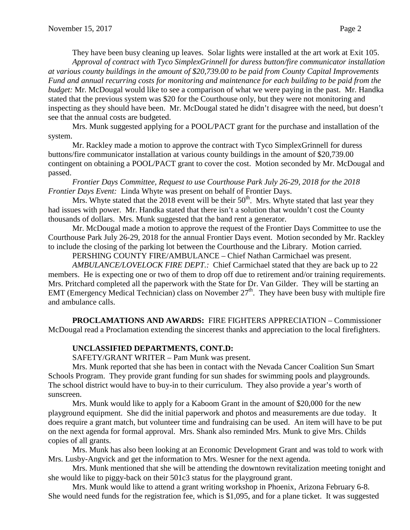They have been busy cleaning up leaves. Solar lights were installed at the art work at Exit 105.

*Approval of contract with Tyco SimplexGrinnell for duress button/fire communicator installation at various county buildings in the amount of \$20,739.00 to be paid from County Capital Improvements Fund and annual recurring costs for monitoring and maintenance for each building to be paid from the budget:* Mr. McDougal would like to see a comparison of what we were paying in the past. Mr. Handka stated that the previous system was \$20 for the Courthouse only, but they were not monitoring and inspecting as they should have been. Mr. McDougal stated he didn't disagree with the need, but doesn't see that the annual costs are budgeted.

Mrs. Munk suggested applying for a POOL/PACT grant for the purchase and installation of the system.

Mr. Rackley made a motion to approve the contract with Tyco SimplexGrinnell for duress buttons/fire communicator installation at various county buildings in the amount of \$20,739.00 contingent on obtaining a POOL/PACT grant to cover the cost. Motion seconded by Mr. McDougal and passed.

*Frontier Days Committee, Request to use Courthouse Park July 26-29, 2018 for the 2018 Frontier Days Event:* Linda Whyte was present on behalf of Frontier Days.

Mrs. Whyte stated that the 2018 event will be their  $50<sup>th</sup>$ . Mrs. Whyte stated that last year they had issues with power. Mr. Handka stated that there isn't a solution that wouldn't cost the County thousands of dollars. Mrs. Munk suggested that the band rent a generator.

Mr. McDougal made a motion to approve the request of the Frontier Days Committee to use the Courthouse Park July 26-29, 2018 for the annual Frontier Days event. Motion seconded by Mr. Rackley to include the closing of the parking lot between the Courthouse and the Library. Motion carried.

PERSHING COUNTY FIRE/AMBULANCE – Chief Nathan Carmichael was present.

*AMBULANCE/LOVELOCK FIRE DEPT.:* Chief Carmichael stated that they are back up to 22 members. He is expecting one or two of them to drop off due to retirement and/or training requirements. Mrs. Pritchard completed all the paperwork with the State for Dr. Van Gilder. They will be starting an EMT (Emergency Medical Technician) class on November  $27<sup>th</sup>$ . They have been busy with multiple fire and ambulance calls.

**PROCLAMATIONS AND AWARDS:** FIRE FIGHTERS APPRECIATION – Commissioner McDougal read a Proclamation extending the sincerest thanks and appreciation to the local firefighters.

# **UNCLASSIFIED DEPARTMENTS, CONT.D:**

SAFETY/GRANT WRITER – Pam Munk was present.

Mrs. Munk reported that she has been in contact with the Nevada Cancer Coalition Sun Smart Schools Program. They provide grant funding for sun shades for swimming pools and playgrounds. The school district would have to buy-in to their curriculum. They also provide a year's worth of sunscreen.

Mrs. Munk would like to apply for a Kaboom Grant in the amount of \$20,000 for the new playground equipment. She did the initial paperwork and photos and measurements are due today. It does require a grant match, but volunteer time and fundraising can be used. An item will have to be put on the next agenda for formal approval. Mrs. Shank also reminded Mrs. Munk to give Mrs. Childs copies of all grants.

Mrs. Munk has also been looking at an Economic Development Grant and was told to work with Mrs. Lusby-Angvick and get the information to Mrs. Wesner for the next agenda.

Mrs. Munk mentioned that she will be attending the downtown revitalization meeting tonight and she would like to piggy-back on their 501c3 status for the playground grant.

Mrs. Munk would like to attend a grant writing workshop in Phoenix, Arizona February 6-8. She would need funds for the registration fee, which is \$1,095, and for a plane ticket. It was suggested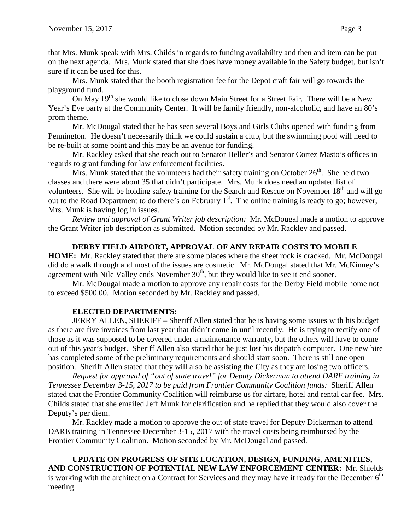that Mrs. Munk speak with Mrs. Childs in regards to funding availability and then and item can be put on the next agenda. Mrs. Munk stated that she does have money available in the Safety budget, but isn't sure if it can be used for this.

Mrs. Munk stated that the booth registration fee for the Depot craft fair will go towards the playground fund.

On May  $19<sup>th</sup>$  she would like to close down Main Street for a Street Fair. There will be a New Year's Eve party at the Community Center. It will be family friendly, non-alcoholic, and have an 80's prom theme.

Mr. McDougal stated that he has seen several Boys and Girls Clubs opened with funding from Pennington. He doesn't necessarily think we could sustain a club, but the swimming pool will need to be re-built at some point and this may be an avenue for funding.

Mr. Rackley asked that she reach out to Senator Heller's and Senator Cortez Masto's offices in regards to grant funding for law enforcement facilities.

Mrs. Munk stated that the volunteers had their safety training on October  $26<sup>th</sup>$ . She held two classes and there were about 35 that didn't participate. Mrs. Munk does need an updated list of volunteers. She will be holding safety training for the Search and Rescue on November 18<sup>th</sup> and will go out to the Road Department to do there's on February  $1<sup>st</sup>$ . The online training is ready to go; however, Mrs. Munk is having log in issues.

*Review and approval of Grant Writer job description:* Mr. McDougal made a motion to approve the Grant Writer job description as submitted. Motion seconded by Mr. Rackley and passed.

# **DERBY FIELD AIRPORT, APPROVAL OF ANY REPAIR COSTS TO MOBILE**

**HOME:** Mr. Rackley stated that there are some places where the sheet rock is cracked. Mr. McDougal did do a walk through and most of the issues are cosmetic. Mr. McDougal stated that Mr. McKinney's agreement with Nile Valley ends November  $30<sup>th</sup>$ , but they would like to see it end sooner.

Mr. McDougal made a motion to approve any repair costs for the Derby Field mobile home not to exceed \$500.00. Motion seconded by Mr. Rackley and passed.

# **ELECTED DEPARTMENTS:**

JERRY ALLEN, SHERIFF **–** Sheriff Allen stated that he is having some issues with his budget as there are five invoices from last year that didn't come in until recently. He is trying to rectify one of those as it was supposed to be covered under a maintenance warranty, but the others will have to come out of this year's budget. Sheriff Allen also stated that he just lost his dispatch computer. One new hire has completed some of the preliminary requirements and should start soon. There is still one open position. Sheriff Allen stated that they will also be assisting the City as they are losing two officers.

*Request for approval of "out of state travel" for Deputy Dickerman to attend DARE training in Tennessee December 3-15, 2017 to be paid from Frontier Community Coalition funds:* Sheriff Allen stated that the Frontier Community Coalition will reimburse us for airfare, hotel and rental car fee. Mrs. Childs stated that she emailed Jeff Munk for clarification and he replied that they would also cover the Deputy's per diem.

Mr. Rackley made a motion to approve the out of state travel for Deputy Dickerman to attend DARE training in Tennessee December 3-15, 2017 with the travel costs being reimbursed by the Frontier Community Coalition. Motion seconded by Mr. McDougal and passed.

**UPDATE ON PROGRESS OF SITE LOCATION, DESIGN, FUNDING, AMENITIES, AND CONSTRUCTION OF POTENTIAL NEW LAW ENFORCEMENT CENTER:** Mr. Shields is working with the architect on a Contract for Services and they may have it ready for the December  $6<sup>th</sup>$ meeting.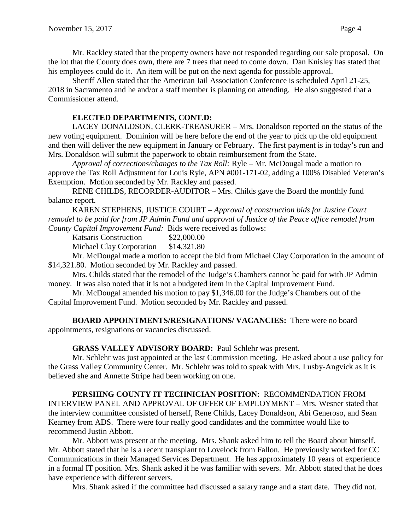Mr. Rackley stated that the property owners have not responded regarding our sale proposal. On the lot that the County does own, there are 7 trees that need to come down. Dan Knisley has stated that his employees could do it. An item will be put on the next agenda for possible approval.

Sheriff Allen stated that the American Jail Association Conference is scheduled April 21-25, 2018 in Sacramento and he and/or a staff member is planning on attending. He also suggested that a Commissioner attend.

### **ELECTED DEPARTMENTS, CONT.D:**

LACEY DONALDSON, CLERK-TREASURER – Mrs. Donaldson reported on the status of the new voting equipment. Dominion will be here before the end of the year to pick up the old equipment and then will deliver the new equipment in January or February. The first payment is in today's run and Mrs. Donaldson will submit the paperwork to obtain reimbursement from the State.

*Approval of corrections/changes to the Tax Roll:* Ryle – Mr. McDougal made a motion to approve the Tax Roll Adjustment for Louis Ryle, APN #001-171-02, adding a 100% Disabled Veteran's Exemption. Motion seconded by Mr. Rackley and passed.

RENE CHILDS, RECORDER-AUDITOR – Mrs. Childs gave the Board the monthly fund balance report.

KAREN STEPHENS, JUSTICE COURT – *Approval of construction bids for Justice Court remodel to be paid for from JP Admin Fund and approval of Justice of the Peace office remodel from County Capital Improvement Fund:* Bids were received as follows:

Katsaris Construction \$22,000.00

Michael Clay Corporation \$14,321.80

Mr. McDougal made a motion to accept the bid from Michael Clay Corporation in the amount of \$14,321.80. Motion seconded by Mr. Rackley and passed.

Mrs. Childs stated that the remodel of the Judge's Chambers cannot be paid for with JP Admin money. It was also noted that it is not a budgeted item in the Capital Improvement Fund.

Mr. McDougal amended his motion to pay \$1,346.00 for the Judge's Chambers out of the Capital Improvement Fund. Motion seconded by Mr. Rackley and passed.

**BOARD APPOINTMENTS/RESIGNATIONS/ VACANCIES:** There were no board appointments, resignations or vacancies discussed.

# **GRASS VALLEY ADVISORY BOARD:** Paul Schlehr was present.

Mr. Schlehr was just appointed at the last Commission meeting. He asked about a use policy for the Grass Valley Community Center. Mr. Schlehr was told to speak with Mrs. Lusby-Angvick as it is believed she and Annette Stripe had been working on one.

**PERSHING COUNTY IT TECHNICIAN POSITION:** RECOMMENDATION FROM INTERVIEW PANEL AND APPROVAL OF OFFER OF EMPLOYMENT – Mrs. Wesner stated that the interview committee consisted of herself, Rene Childs, Lacey Donaldson, Abi Generoso, and Sean Kearney from ADS. There were four really good candidates and the committee would like to recommend Justin Abbott.

Mr. Abbott was present at the meeting. Mrs. Shank asked him to tell the Board about himself. Mr. Abbott stated that he is a recent transplant to Lovelock from Fallon. He previously worked for CC Communications in their Managed Services Department. He has approximately 10 years of experience in a formal IT position. Mrs. Shank asked if he was familiar with severs. Mr. Abbott stated that he does have experience with different servers.

Mrs. Shank asked if the committee had discussed a salary range and a start date. They did not.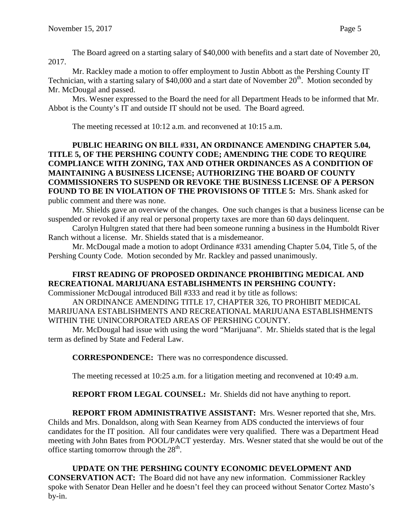The Board agreed on a starting salary of \$40,000 with benefits and a start date of November 20, 2017.

Mr. Rackley made a motion to offer employment to Justin Abbott as the Pershing County IT Technician, with a starting salary of \$40,000 and a start date of November  $20<sup>th</sup>$ . Motion seconded by Mr. McDougal and passed.

Mrs. Wesner expressed to the Board the need for all Department Heads to be informed that Mr. Abbot is the County's IT and outside IT should not be used. The Board agreed.

The meeting recessed at 10:12 a.m. and reconvened at 10:15 a.m.

**PUBLIC HEARING ON BILL #331, AN ORDINANCE AMENDING CHAPTER 5.04, TITLE 5, OF THE PERSHING COUNTY CODE; AMENDING THE CODE TO REQUIRE COMPLIANCE WITH ZONING, TAX AND OTHER ORDINANCES AS A CONDITION OF MAINTAINING A BUSINESS LICENSE; AUTHORIZING THE BOARD OF COUNTY COMMISSIONERS TO SUSPEND OR REVOKE THE BUSINESS LICENSE OF A PERSON FOUND TO BE IN VIOLATION OF THE PROVISIONS OF TITLE 5:** Mrs. Shank asked for public comment and there was none.

Mr. Shields gave an overview of the changes. One such changes is that a business license can be suspended or revoked if any real or personal property taxes are more than 60 days delinquent.

Carolyn Hultgren stated that there had been someone running a business in the Humboldt River Ranch without a license. Mr. Shields stated that is a misdemeanor.

Mr. McDougal made a motion to adopt Ordinance #331 amending Chapter 5.04, Title 5, of the Pershing County Code. Motion seconded by Mr. Rackley and passed unanimously.

#### **FIRST READING OF PROPOSED ORDINANCE PROHIBITING MEDICAL AND RECREATIONAL MARIJUANA ESTABLISHMENTS IN PERSHING COUNTY:**  Commissioner McDougal introduced Bill #333 and read it by title as follows:

AN ORDINANCE AMENDING TITLE 17, CHAPTER 326, TO PROHIBIT MEDICAL MARIJUANA ESTABLISHMENTS AND RECREATIONAL MARIJUANA ESTABLISHMENTS WITHIN THE UNINCORPORATED AREAS OF PERSHING COUNTY.

Mr. McDougal had issue with using the word "Marijuana". Mr. Shields stated that is the legal term as defined by State and Federal Law.

**CORRESPONDENCE:** There was no correspondence discussed.

The meeting recessed at 10:25 a.m. for a litigation meeting and reconvened at 10:49 a.m.

**REPORT FROM LEGAL COUNSEL:** Mr. Shields did not have anything to report.

**REPORT FROM ADMINISTRATIVE ASSISTANT:** Mrs. Wesner reported that she, Mrs. Childs and Mrs. Donaldson, along with Sean Kearney from ADS conducted the interviews of four candidates for the IT position. All four candidates were very qualified. There was a Department Head meeting with John Bates from POOL/PACT yesterday. Mrs. Wesner stated that she would be out of the office starting tomorrow through the  $28<sup>th</sup>$ .

**UPDATE ON THE PERSHING COUNTY ECONOMIC DEVELOPMENT AND CONSERVATION ACT:** The Board did not have any new information. Commissioner Rackley spoke with Senator Dean Heller and he doesn't feel they can proceed without Senator Cortez Masto's by-in.